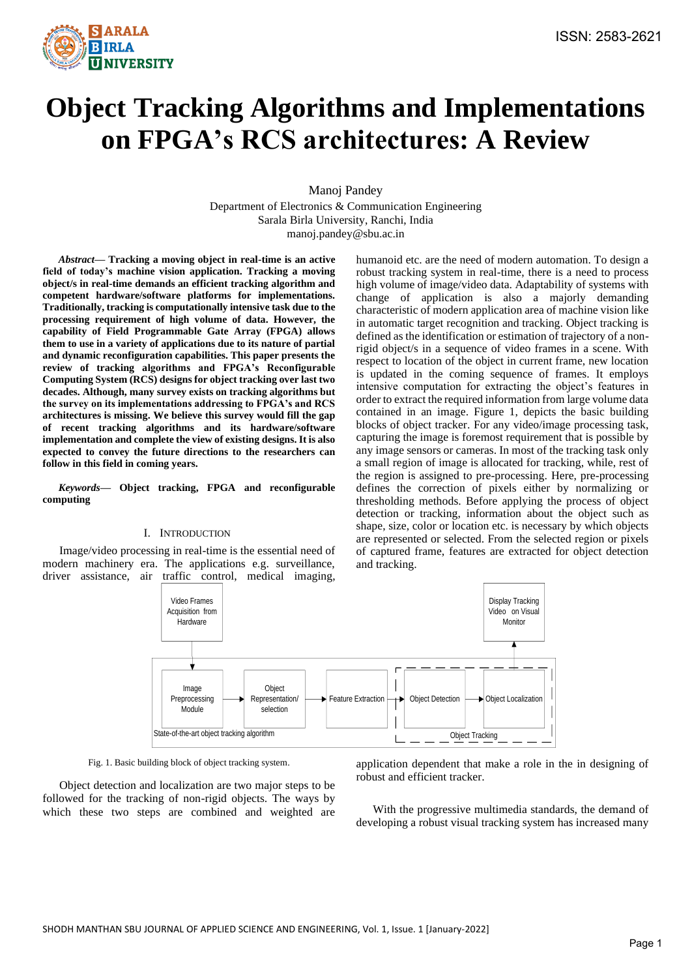

# **Object Tracking Algorithms and Implementations on FPGA's RCS architectures: A Review**

Manoj Pandey

Department of Electronics & Communication Engineering Sarala Birla University, Ranchi, India manoj.pandey@sbu.ac.in

*Abstract***— Tracking a moving object in real-time is an active field of today's machine vision application. Tracking a moving object/s in real-time demands an efficient tracking algorithm and competent hardware/software platforms for implementations. Traditionally, tracking is computationally intensive task due to the processing requirement of high volume of data. However, the capability of Field Programmable Gate Array (FPGA) allows them to use in a variety of applications due to its nature of partial and dynamic reconfiguration capabilities. This paper presents the review of tracking algorithms and FPGA's Reconfigurable Computing System (RCS) designs for object tracking over last two decades. Although, many survey exists on tracking algorithms but the survey on its implementations addressing to FPGA's and RCS architectures is missing. We believe this survey would fill the gap of recent tracking algorithms and its hardware/software implementation and complete the view of existing designs. It is also expected to convey the future directions to the researchers can follow in this field in coming years.**

*Keywords—* **Object tracking, FPGA and reconfigurable computing**

#### I. INTRODUCTION

Image/video processing in real-time is the essential need of modern machinery era. The applications e.g. surveillance, driver assistance, air traffic control, medical imaging,

humanoid etc. are the need of modern automation. To design a robust tracking system in real-time, there is a need to process high volume of image/video data. Adaptability of systems with change of application is also a majorly demanding characteristic of modern application area of machine vision like in automatic target recognition and tracking. Object tracking is defined as the identification or estimation of trajectory of a nonrigid object/s in a sequence of video frames in a scene. With respect to location of the object in current frame, new location is updated in the coming sequence of frames. It employs intensive computation for extracting the object's features in order to extract the required information from large volume data contained in an image. Figure 1, depicts the basic building blocks of object tracker. For any video/image processing task, capturing the image is foremost requirement that is possible by any image sensors or cameras. In most of the tracking task only a small region of image is allocated for tracking, while, rest of the region is assigned to pre-processing. Here, pre-processing defines the correction of pixels either by normalizing or thresholding methods. Before applying the process of object detection or tracking, information about the object such as shape, size, color or location etc. is necessary by which objects are represented or selected. From the selected region or pixels of captured frame, features are extracted for object detection and tracking.



Fig. 1. Basic building block of object tracking system.

Object detection and localization are two major steps to be followed for the tracking of non-rigid objects. The ways by which these two steps are combined and weighted are application dependent that make a role in the in designing of robust and efficient tracker.

With the progressive multimedia standards, the demand of developing a robust visual tracking system has increased many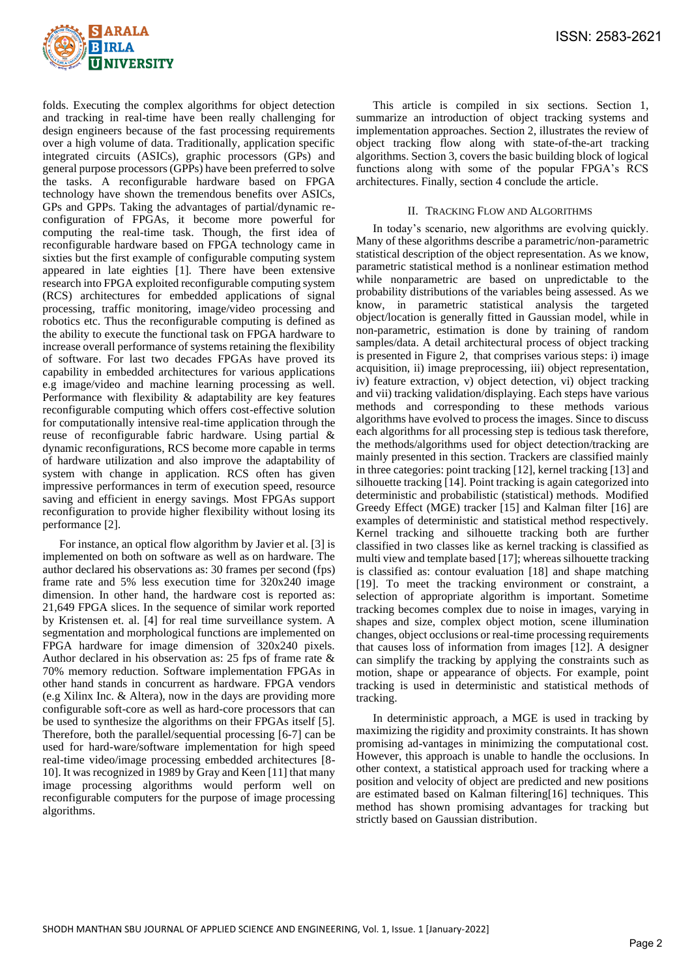

folds. Executing the complex algorithms for object detection and tracking in real-time have been really challenging for design engineers because of the fast processing requirements over a high volume of data. Traditionally, application specific integrated circuits (ASICs), graphic processors (GPs) and general purpose processors (GPPs) have been preferred to solve the tasks. A reconfigurable hardware based on FPGA technology have shown the tremendous benefits over ASICs, GPs and GPPs. Taking the advantages of partial/dynamic reconfiguration of FPGAs, it become more powerful for computing the real-time task. Though, the first idea of reconfigurable hardware based on FPGA technology came in sixties but the first example of configurable computing system appeared in late eighties [1]. There have been extensive research into FPGA exploited reconfigurable computing system (RCS) architectures for embedded applications of signal processing, traffic monitoring, image/video processing and robotics etc. Thus the reconfigurable computing is defined as the ability to execute the functional task on FPGA hardware to increase overall performance of systems retaining the flexibility of software. For last two decades FPGAs have proved its capability in embedded architectures for various applications e.g image/video and machine learning processing as well. Performance with flexibility & adaptability are key features reconfigurable computing which offers cost-effective solution for computationally intensive real-time application through the reuse of reconfigurable fabric hardware. Using partial & dynamic reconfigurations, RCS become more capable in terms of hardware utilization and also improve the adaptability of system with change in application. RCS often has given impressive performances in term of execution speed, resource saving and efficient in energy savings. Most FPGAs support reconfiguration to provide higher flexibility without losing its performance [2].

For instance, an optical flow algorithm by Javier et al. [3] is implemented on both on software as well as on hardware. The author declared his observations as: 30 frames per second (fps) frame rate and 5% less execution time for 320x240 image dimension. In other hand, the hardware cost is reported as: 21,649 FPGA slices. In the sequence of similar work reported by Kristensen et. al. [4] for real time surveillance system. A segmentation and morphological functions are implemented on FPGA hardware for image dimension of 320x240 pixels. Author declared in his observation as: 25 fps of frame rate & 70% memory reduction. Software implementation FPGAs in other hand stands in concurrent as hardware. FPGA vendors (e.g Xilinx Inc. & Altera), now in the days are providing more configurable soft-core as well as hard-core processors that can be used to synthesize the algorithms on their FPGAs itself [5]. Therefore, both the parallel/sequential processing [6-7] can be used for hard-ware/software implementation for high speed real-time video/image processing embedded architectures [8- 10]. It was recognized in 1989 by Gray and Keen [11] that many image processing algorithms would perform well on reconfigurable computers for the purpose of image processing algorithms.

This article is compiled in six sections. Section 1, summarize an introduction of object tracking systems and implementation approaches. Section 2, illustrates the review of object tracking flow along with state-of-the-art tracking algorithms. Section 3, covers the basic building block of logical functions along with some of the popular FPGA's RCS architectures. Finally, section 4 conclude the article.

## II. TRACKING FLOW AND ALGORITHMS

In today's scenario, new algorithms are evolving quickly. Many of these algorithms describe a parametric/non-parametric statistical description of the object representation. As we know, parametric statistical method is a nonlinear estimation method while nonparametric are based on unpredictable to the probability distributions of the variables being assessed. As we know, in parametric statistical analysis the targeted object/location is generally fitted in Gaussian model, while in non-parametric, estimation is done by training of random samples/data. A detail architectural process of object tracking is presented in Figure 2, that comprises various steps: i) image acquisition, ii) image preprocessing, iii) object representation, iv) feature extraction, v) object detection, vi) object tracking and vii) tracking validation/displaying. Each steps have various methods and corresponding to these methods various algorithms have evolved to process the images. Since to discuss each algorithms for all processing step is tedious task therefore, the methods/algorithms used for object detection/tracking are mainly presented in this section. Trackers are classified mainly in three categories: point tracking [12], kernel tracking [13] and silhouette tracking [14]. Point tracking is again categorized into deterministic and probabilistic (statistical) methods. Modified Greedy Effect (MGE) tracker [15] and Kalman filter [16] are examples of deterministic and statistical method respectively. Kernel tracking and silhouette tracking both are further classified in two classes like as kernel tracking is classified as multi view and template based [17]; whereas silhouette tracking is classified as: contour evaluation [18] and shape matching [19]. To meet the tracking environment or constraint, a selection of appropriate algorithm is important. Sometime tracking becomes complex due to noise in images, varying in shapes and size, complex object motion, scene illumination changes, object occlusions or real-time processing requirements that causes loss of information from images [12]. A designer can simplify the tracking by applying the constraints such as motion, shape or appearance of objects. For example, point tracking is used in deterministic and statistical methods of tracking.

In deterministic approach, a MGE is used in tracking by maximizing the rigidity and proximity constraints. It has shown promising ad-vantages in minimizing the computational cost. However, this approach is unable to handle the occlusions. In other context, a statistical approach used for tracking where a position and velocity of object are predicted and new positions are estimated based on Kalman filtering[16] techniques. This method has shown promising advantages for tracking but strictly based on Gaussian distribution.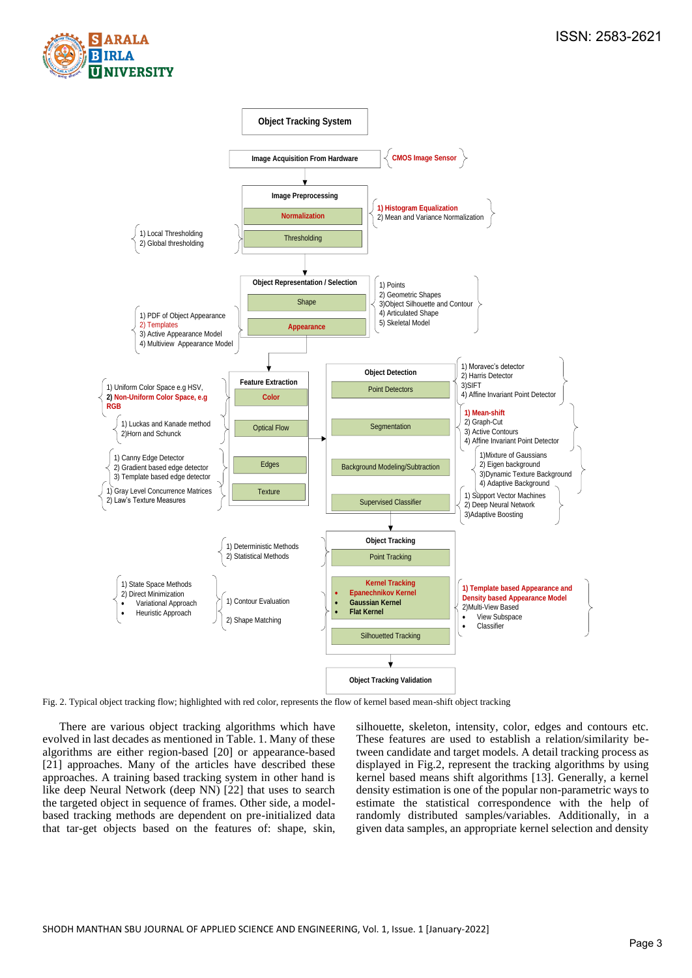



Fig. 2. Typical object tracking flow; highlighted with red color, represents the flow of kernel based mean-shift object tracking

There are various object tracking algorithms which have evolved in last decades as mentioned in Table. 1. Many of these algorithms are either region-based [20] or appearance-based [21] approaches. Many of the articles have described these approaches. A training based tracking system in other hand is like deep Neural Network (deep NN) [22] that uses to search the targeted object in sequence of frames. Other side, a modelbased tracking methods are dependent on pre-initialized data that tar-get objects based on the features of: shape, skin,

silhouette, skeleton, intensity, color, edges and contours etc. These features are used to establish a relation/similarity between candidate and target models. A detail tracking process as displayed in Fig.2, represent the tracking algorithms by using kernel based means shift algorithms [13]. Generally, a kernel density estimation is one of the popular non-parametric ways to estimate the statistical correspondence with the help of randomly distributed samples/variables. Additionally, in a given data samples, an appropriate kernel selection and density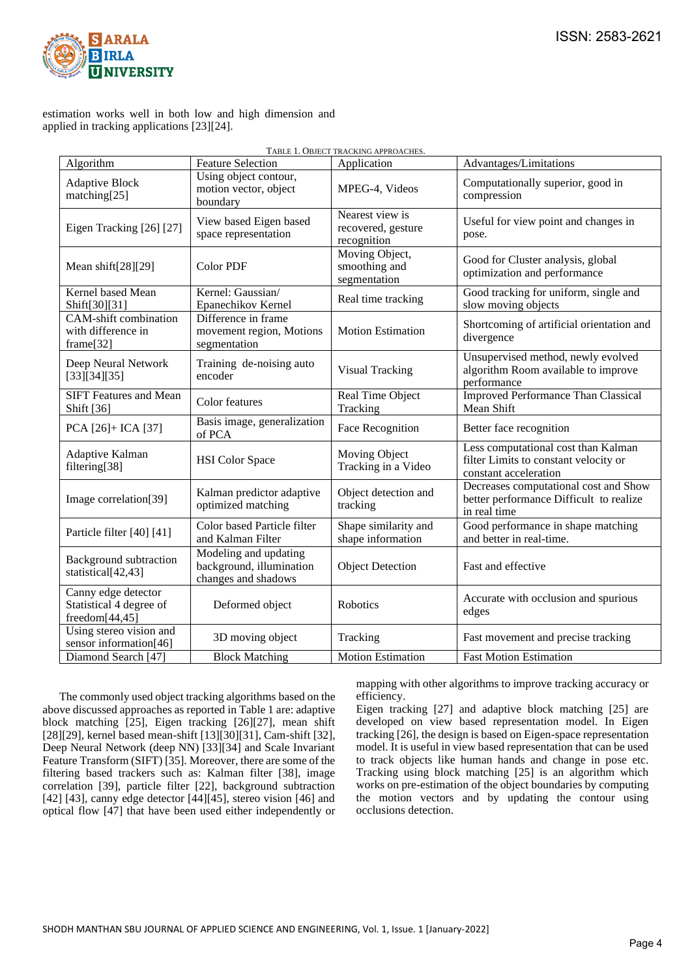

## estimation works well in both low and high dimension and applied in tracking applications [23][24].

| TABLE 1. OBJECT TRACKING APPROACHES.                             |                                                                          |                                                      |                                                                                                       |  |  |  |  |  |
|------------------------------------------------------------------|--------------------------------------------------------------------------|------------------------------------------------------|-------------------------------------------------------------------------------------------------------|--|--|--|--|--|
| Algorithm                                                        | <b>Feature Selection</b>                                                 | Application                                          | Advantages/Limitations                                                                                |  |  |  |  |  |
| <b>Adaptive Block</b><br>matching[25]                            | Using object contour,<br>motion vector, object<br>boundary               | MPEG-4, Videos                                       | Computationally superior, good in<br>compression                                                      |  |  |  |  |  |
| Eigen Tracking [26] [27]                                         | View based Eigen based<br>space representation                           | Nearest view is<br>recovered, gesture<br>recognition | Useful for view point and changes in<br>pose.                                                         |  |  |  |  |  |
| Mean shift[28][29]                                               | <b>Color PDF</b>                                                         | Moving Object,<br>smoothing and<br>segmentation      | Good for Cluster analysis, global<br>optimization and performance                                     |  |  |  |  |  |
| Kernel based Mean<br>Shift[30][31]                               | Kernel: Gaussian/<br>Epanechikov Kernel                                  | Real time tracking                                   | Good tracking for uniform, single and<br>slow moving objects                                          |  |  |  |  |  |
| CAM-shift combination<br>with difference in<br>frame[32]         | Difference in frame<br>movement region, Motions<br>segmentation          | <b>Motion Estimation</b>                             | Shortcoming of artificial orientation and<br>divergence                                               |  |  |  |  |  |
| Deep Neural Network<br>[33][34][35]                              | Training de-noising auto<br>encoder                                      | <b>Visual Tracking</b>                               | Unsupervised method, newly evolved<br>algorithm Room available to improve<br>performance              |  |  |  |  |  |
| <b>SIFT Features and Mean</b><br>Shift [36]                      | Color features                                                           | Real Time Object<br>Tracking                         | <b>Improved Performance Than Classical</b><br>Mean Shift                                              |  |  |  |  |  |
| PCA [26]+ ICA [37]                                               | Basis image, generalization<br>of PCA                                    | Face Recognition                                     | Better face recognition                                                                               |  |  |  |  |  |
| Adaptive Kalman<br>filtering[38]                                 | <b>HSI</b> Color Space                                                   | Moving Object<br>Tracking in a Video                 | Less computational cost than Kalman<br>filter Limits to constant velocity or<br>constant acceleration |  |  |  |  |  |
| Image correlation[39]                                            | Kalman predictor adaptive<br>optimized matching                          | Object detection and<br>tracking                     | Decreases computational cost and Show<br>better performance Difficult to realize<br>in real time      |  |  |  |  |  |
| Particle filter [40] [41]                                        | Color based Particle filter<br>and Kalman Filter                         | Shape similarity and<br>shape information            | Good performance in shape matching<br>and better in real-time.                                        |  |  |  |  |  |
| <b>Background</b> subtraction<br>statistical[42,43]              | Modeling and updating<br>background, illumination<br>changes and shadows | <b>Object Detection</b>                              | Fast and effective                                                                                    |  |  |  |  |  |
| Canny edge detector<br>Statistical 4 degree of<br>freedom[44,45] | Deformed object                                                          | Robotics                                             | Accurate with occlusion and spurious<br>edges                                                         |  |  |  |  |  |
| Using stereo vision and<br>sensor information[46]                | 3D moving object                                                         | Tracking                                             | Fast movement and precise tracking                                                                    |  |  |  |  |  |
| Diamond Search [47]                                              | <b>Block Matching</b>                                                    | <b>Motion Estimation</b>                             | <b>Fast Motion Estimation</b>                                                                         |  |  |  |  |  |

The commonly used object tracking algorithms based on the above discussed approaches as reported in Table 1 are: adaptive block matching [25], Eigen tracking [26][27], mean shift [28][29], kernel based mean-shift [13][30][31], Cam-shift [32], Deep Neural Network (deep NN) [33][34] and Scale Invariant Feature Transform (SIFT) [35]. Moreover, there are some of the filtering based trackers such as: Kalman filter [38], image correlation [39], particle filter [22], background subtraction [42] [43], canny edge detector [44] [45], stereo vision [46] and optical flow [47] that have been used either independently or

mapping with other algorithms to improve tracking accuracy or efficiency.

Eigen tracking [27] and adaptive block matching [25] are developed on view based representation model. In Eigen tracking [26], the design is based on Eigen-space representation model. It is useful in view based representation that can be used to track objects like human hands and change in pose etc. Tracking using block matching [25] is an algorithm which works on pre-estimation of the object boundaries by computing the motion vectors and by updating the contour using occlusions detection.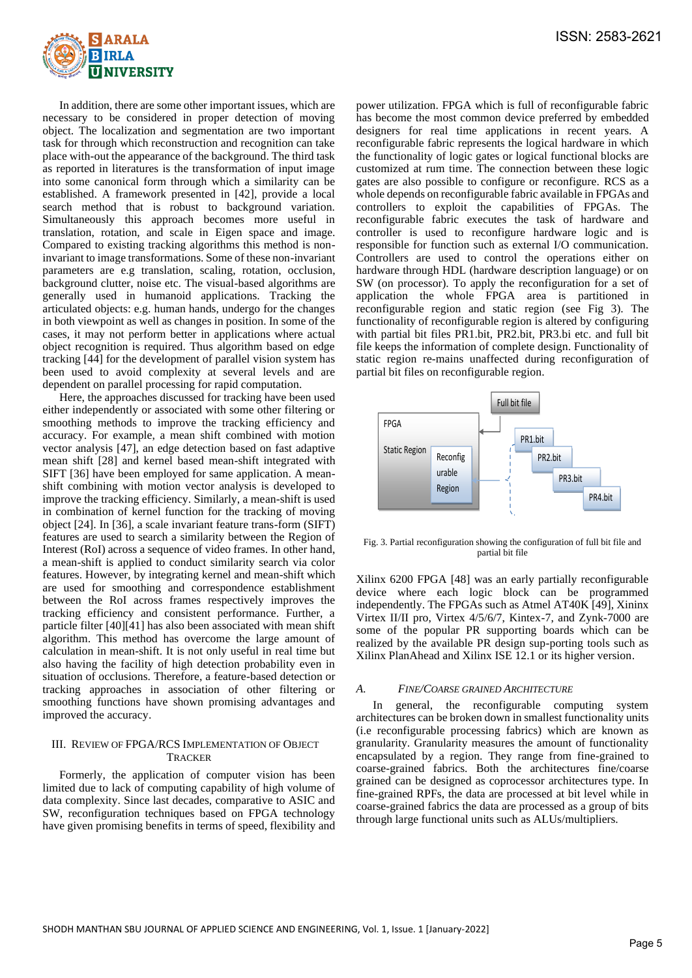

In addition, there are some other important issues, which are necessary to be considered in proper detection of moving object. The localization and segmentation are two important task for through which reconstruction and recognition can take place with-out the appearance of the background. The third task as reported in literatures is the transformation of input image into some canonical form through which a similarity can be established. A framework presented in [42], provide a local search method that is robust to background variation. Simultaneously this approach becomes more useful in translation, rotation, and scale in Eigen space and image. Compared to existing tracking algorithms this method is noninvariant to image transformations. Some of these non-invariant parameters are e.g translation, scaling, rotation, occlusion, background clutter, noise etc. The visual-based algorithms are generally used in humanoid applications. Tracking the articulated objects: e.g. human hands, undergo for the changes in both viewpoint as well as changes in position. In some of the cases, it may not perform better in applications where actual object recognition is required. Thus algorithm based on edge tracking [44] for the development of parallel vision system has been used to avoid complexity at several levels and are dependent on parallel processing for rapid computation.

Here, the approaches discussed for tracking have been used either independently or associated with some other filtering or smoothing methods to improve the tracking efficiency and accuracy. For example, a mean shift combined with motion vector analysis [47], an edge detection based on fast adaptive mean shift [28] and kernel based mean-shift integrated with SIFT [36] have been employed for same application. A meanshift combining with motion vector analysis is developed to improve the tracking efficiency. Similarly, a mean-shift is used in combination of kernel function for the tracking of moving object [24]. In [36], a scale invariant feature trans-form (SIFT) features are used to search a similarity between the Region of Interest (RoI) across a sequence of video frames. In other hand, a mean-shift is applied to conduct similarity search via color features. However, by integrating kernel and mean-shift which are used for smoothing and correspondence establishment between the RoI across frames respectively improves the tracking efficiency and consistent performance. Further, a particle filter [40][41] has also been associated with mean shift algorithm. This method has overcome the large amount of calculation in mean-shift. It is not only useful in real time but also having the facility of high detection probability even in situation of occlusions. Therefore, a feature-based detection or tracking approaches in association of other filtering or smoothing functions have shown promising advantages and improved the accuracy.

# III. REVIEW OF FPGA/RCS IMPLEMENTATION OF OBJECT **TRACKER**

Formerly, the application of computer vision has been limited due to lack of computing capability of high volume of data complexity. Since last decades, comparative to ASIC and SW, reconfiguration techniques based on FPGA technology have given promising benefits in terms of speed, flexibility and power utilization. FPGA which is full of reconfigurable fabric has become the most common device preferred by embedded designers for real time applications in recent years. A reconfigurable fabric represents the logical hardware in which the functionality of logic gates or logical functional blocks are customized at rum time. The connection between these logic gates are also possible to configure or reconfigure. RCS as a whole depends on reconfigurable fabric available in FPGAs and controllers to exploit the capabilities of FPGAs. The reconfigurable fabric executes the task of hardware and controller is used to reconfigure hardware logic and is responsible for function such as external I/O communication. Controllers are used to control the operations either on hardware through HDL (hardware description language) or on SW (on processor). To apply the reconfiguration for a set of application the whole FPGA area is partitioned in reconfigurable region and static region (see Fig 3). The functionality of reconfigurable region is altered by configuring with partial bit files PR1.bit, PR2.bit, PR3.bi etc. and full bit file keeps the information of complete design. Functionality of static region re-mains unaffected during reconfiguration of partial bit files on reconfigurable region.



Fig. 3. Partial reconfiguration showing the configuration of full bit file and partial bit file

Xilinx 6200 FPGA [48] was an early partially reconfigurable device where each logic block can be programmed independently. The FPGAs such as Atmel AT40K [49], Xininx Virtex II/II pro, Virtex 4/5/6/7, Kintex-7, and Zynk-7000 are some of the popular PR supporting boards which can be realized by the available PR design sup-porting tools such as Xilinx PlanAhead and Xilinx ISE 12.1 or its higher version.

# *A. FINE/COARSE GRAINED ARCHITECTURE*

In general, the reconfigurable computing system architectures can be broken down in smallest functionality units (i.e reconfigurable processing fabrics) which are known as granularity. Granularity measures the amount of functionality encapsulated by a region. They range from fine-grained to coarse-grained fabrics. Both the architectures fine/coarse grained can be designed as coprocessor architectures type. In fine-grained RPFs, the data are processed at bit level while in coarse-grained fabrics the data are processed as a group of bits through large functional units such as ALUs/multipliers.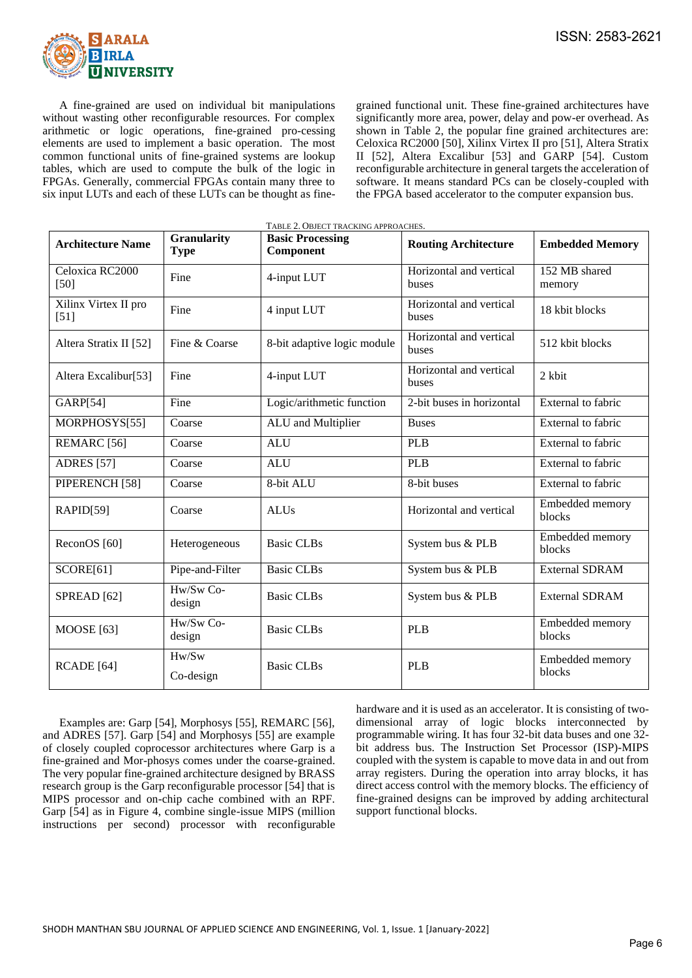

A fine-grained are used on individual bit manipulations without wasting other reconfigurable resources. For complex arithmetic or logic operations, fine-grained pro-cessing elements are used to implement a basic operation. The most common functional units of fine-grained systems are lookup tables, which are used to compute the bulk of the logic in FPGAs. Generally, commercial FPGAs contain many three to six input LUTs and each of these LUTs can be thought as finegrained functional unit. These fine-grained architectures have significantly more area, power, delay and pow-er overhead. As shown in Table 2, the popular fine grained architectures are: Celoxica RC2000 [50], Xilinx Virtex II pro [51], Altera Stratix II [52], Altera Excalibur [53] and GARP [54]. Custom reconfigurable architecture in general targets the acceleration of software. It means standard PCs can be closely-coupled with the FPGA based accelerator to the computer expansion bus.

| TABLE 2. OBJECT TRACKING APPROACHES. |                                   |                                      |                                  |                           |  |  |  |
|--------------------------------------|-----------------------------------|--------------------------------------|----------------------------------|---------------------------|--|--|--|
| <b>Architecture Name</b>             | <b>Granularity</b><br><b>Type</b> | <b>Basic Processing</b><br>Component | <b>Routing Architecture</b>      | <b>Embedded Memory</b>    |  |  |  |
| Celoxica RC2000<br>$[50]$            | Fine                              | 4-input LUT                          | Horizontal and vertical<br>buses | 152 MB shared<br>memory   |  |  |  |
| Xilinx Virtex II pro<br>$[51]$       | Fine                              | 4 input LUT                          | Horizontal and vertical<br>buses | 18 kbit blocks            |  |  |  |
| Altera Stratix II [52]               | Fine & Coarse                     | 8-bit adaptive logic module          | Horizontal and vertical<br>buses | 512 kbit blocks           |  |  |  |
| Altera Excalibur[53]                 | Fine                              | 4-input LUT                          | Horizontal and vertical<br>buses | 2 kbit                    |  |  |  |
| GARP[54]                             | Fine                              | Logic/arithmetic function            | 2-bit buses in horizontal        | External to fabric        |  |  |  |
| MORPHOSYS[55]                        | Coarse                            | ALU and Multiplier                   | <b>Buses</b>                     | External to fabric        |  |  |  |
| REMARC <sub>[56]</sub>               | Coarse                            | <b>ALU</b>                           | <b>PLB</b>                       | External to fabric        |  |  |  |
| <b>ADRES</b> [57]                    | Coarse                            | <b>ALU</b>                           | <b>PLB</b>                       | External to fabric        |  |  |  |
| PIPERENCH <sup>[58]</sup>            | Coarse                            | 8-bit ALU                            | 8-bit buses                      | External to fabric        |  |  |  |
| RAPID[59]                            | Coarse                            | <b>ALUs</b>                          | Horizontal and vertical          | Embedded memory<br>blocks |  |  |  |
| ReconOS [60]                         | Heterogeneous                     | <b>Basic CLBs</b>                    | System bus & PLB                 | Embedded memory<br>blocks |  |  |  |
| SCORE[61]                            | Pipe-and-Filter                   | <b>Basic CLBs</b>                    | System bus & PLB                 | <b>External SDRAM</b>     |  |  |  |
| SPREAD <sup>[62]</sup>               | Hw/Sw Co-<br>design               | <b>Basic CLBs</b>                    | System bus & PLB                 | <b>External SDRAM</b>     |  |  |  |
| <b>MOOSE</b> [63]                    | Hw/Sw Co-<br>design               | <b>Basic CLBs</b>                    | <b>PLB</b>                       | Embedded memory<br>blocks |  |  |  |
| RCADE [64]                           | Hw/Sw<br>Co-design                | <b>Basic CLBs</b>                    | <b>PLB</b>                       | Embedded memory<br>blocks |  |  |  |

Examples are: Garp [54], Morphosys [55], REMARC [56], and ADRES [57]. Garp [54] and Morphosys [55] are example of closely coupled coprocessor architectures where Garp is a fine-grained and Mor-phosys comes under the coarse-grained. The very popular fine-grained architecture designed by BRASS research group is the Garp reconfigurable processor [54] that is MIPS processor and on-chip cache combined with an RPF. Garp [54] as in Figure 4, combine single-issue MIPS (million instructions per second) processor with reconfigurable

hardware and it is used as an accelerator. It is consisting of twodimensional array of logic blocks interconnected by programmable wiring. It has four 32-bit data buses and one 32 bit address bus. The Instruction Set Processor (ISP)-MIPS coupled with the system is capable to move data in and out from array registers. During the operation into array blocks, it has direct access control with the memory blocks. The efficiency of fine-grained designs can be improved by adding architectural support functional blocks.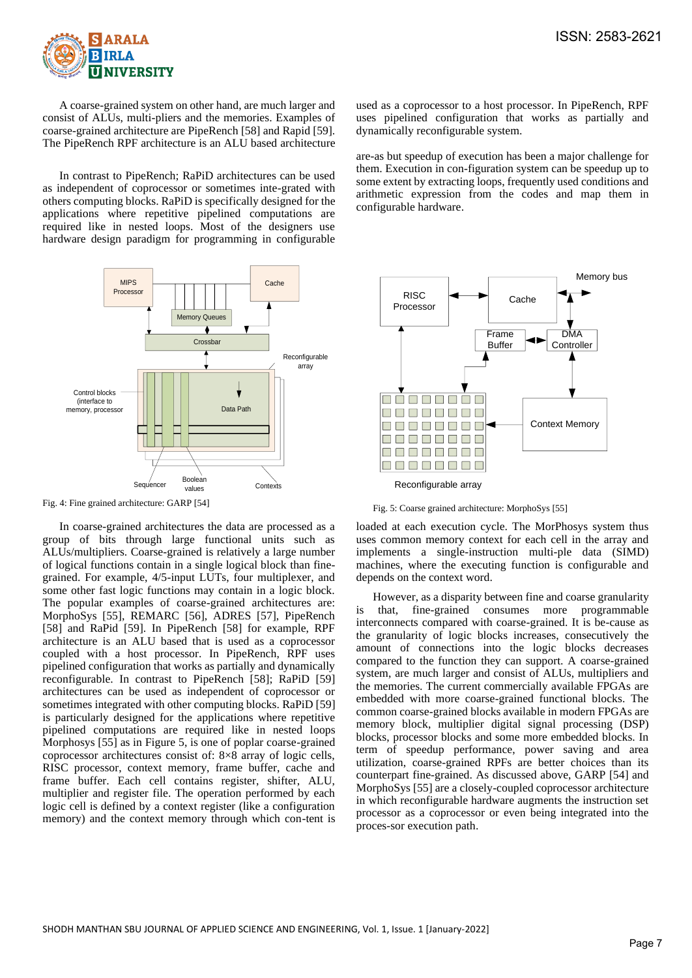

A coarse-grained system on other hand, are much larger and consist of ALUs, multi-pliers and the memories. Examples of coarse-grained architecture are PipeRench [58] and Rapid [59]. The PipeRench RPF architecture is an ALU based architecture

In contrast to PipeRench; RaPiD architectures can be used as independent of coprocessor or sometimes inte-grated with others computing blocks. RaPiD is specifically designed for the applications where repetitive pipelined computations are required like in nested loops. Most of the designers use hardware design paradigm for programming in configurable



Fig. 4: Fine grained architecture: GARP [54]

In coarse-grained architectures the data are processed as a group of bits through large functional units such as ALUs/multipliers. Coarse-grained is relatively a large number of logical functions contain in a single logical block than finegrained. For example, 4/5-input LUTs, four multiplexer, and some other fast logic functions may contain in a logic block. The popular examples of coarse-grained architectures are: MorphoSys [55], REMARC [56], ADRES [57], PipeRench [58] and RaPid [59]. In PipeRench [58] for example, RPF architecture is an ALU based that is used as a coprocessor coupled with a host processor. In PipeRench, RPF uses pipelined configuration that works as partially and dynamically reconfigurable. In contrast to PipeRench [58]; RaPiD [59] architectures can be used as independent of coprocessor or sometimes integrated with other computing blocks. RaPiD [59] is particularly designed for the applications where repetitive pipelined computations are required like in nested loops Morphosys [55] as in Figure 5, is one of poplar coarse-grained coprocessor architectures consist of: 8×8 array of logic cells, RISC processor, context memory, frame buffer, cache and frame buffer. Each cell contains register, shifter, ALU, multiplier and register file. The operation performed by each logic cell is defined by a context register (like a configuration memory) and the context memory through which con-tent is used as a coprocessor to a host processor. In PipeRench, RPF uses pipelined configuration that works as partially and dynamically reconfigurable system.

are-as but speedup of execution has been a major challenge for them. Execution in con-figuration system can be speedup up to some extent by extracting loops, frequently used conditions and arithmetic expression from the codes and map them in configurable hardware.



Fig. 5: Coarse grained architecture: MorphoSys [55]

loaded at each execution cycle. The MorPhosys system thus uses common memory context for each cell in the array and implements a single-instruction multi-ple data (SIMD) machines, where the executing function is configurable and depends on the context word.

However, as a disparity between fine and coarse granularity is that, fine-grained consumes more programmable interconnects compared with coarse-grained. It is be-cause as the granularity of logic blocks increases, consecutively the amount of connections into the logic blocks decreases compared to the function they can support. A coarse-grained system, are much larger and consist of ALUs, multipliers and the memories. The current commercially available FPGAs are embedded with more coarse-grained functional blocks. The common coarse-grained blocks available in modern FPGAs are memory block, multiplier digital signal processing (DSP) blocks, processor blocks and some more embedded blocks. In term of speedup performance, power saving and area utilization, coarse-grained RPFs are better choices than its counterpart fine-grained. As discussed above, GARP [54] and MorphoSys [55] are a closely-coupled coprocessor architecture in which reconfigurable hardware augments the instruction set processor as a coprocessor or even being integrated into the proces-sor execution path.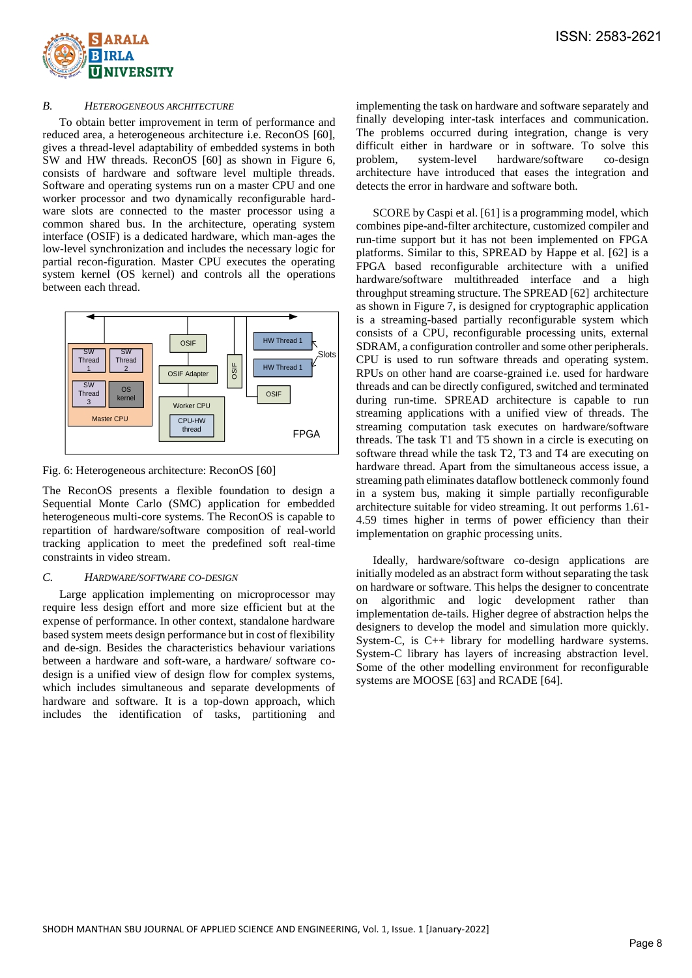

### *B. HETEROGENEOUS ARCHITECTURE*

To obtain better improvement in term of performance and reduced area, a heterogeneous architecture i.e. ReconOS [60], gives a thread-level adaptability of embedded systems in both SW and HW threads. ReconOS [60] as shown in Figure 6, consists of hardware and software level multiple threads. Software and operating systems run on a master CPU and one worker processor and two dynamically reconfigurable hardware slots are connected to the master processor using a common shared bus. In the architecture, operating system interface (OSIF) is a dedicated hardware, which man-ages the low-level synchronization and includes the necessary logic for partial recon-figuration. Master CPU executes the operating system kernel (OS kernel) and controls all the operations between each thread.



Fig. 6: Heterogeneous architecture: ReconOS [60]

The ReconOS presents a flexible foundation to design a Sequential Monte Carlo (SMC) application for embedded heterogeneous multi-core systems. The ReconOS is capable to repartition of hardware/software composition of real-world tracking application to meet the predefined soft real-time constraints in video stream.

# *C. HARDWARE/SOFTWARE CO-DESIGN*

Large application implementing on microprocessor may require less design effort and more size efficient but at the expense of performance. In other context, standalone hardware based system meets design performance but in cost of flexibility and de-sign. Besides the characteristics behaviour variations between a hardware and soft-ware, a hardware/ software codesign is a unified view of design flow for complex systems, which includes simultaneous and separate developments of hardware and software. It is a top-down approach, which includes the identification of tasks, partitioning and

implementing the task on hardware and software separately and finally developing inter-task interfaces and communication. The problems occurred during integration, change is very difficult either in hardware or in software. To solve this problem, system-level hardware/software co-design architecture have introduced that eases the integration and detects the error in hardware and software both.

SCORE by Caspi et al. [61] is a programming model, which combines pipe-and-filter architecture, customized compiler and run-time support but it has not been implemented on FPGA platforms. Similar to this, SPREAD by Happe et al. [62] is a FPGA based reconfigurable architecture with a unified hardware/software multithreaded interface and a high throughput streaming structure. The SPREAD [62] architecture as shown in Figure 7, is designed for cryptographic application is a streaming-based partially reconfigurable system which consists of a CPU, reconfigurable processing units, external SDRAM, a configuration controller and some other peripherals. CPU is used to run software threads and operating system. RPUs on other hand are coarse-grained i.e. used for hardware threads and can be directly configured, switched and terminated during run-time. SPREAD architecture is capable to run streaming applications with a unified view of threads. The streaming computation task executes on hardware/software threads. The task T1 and T5 shown in a circle is executing on software thread while the task T2, T3 and T4 are executing on hardware thread. Apart from the simultaneous access issue, a streaming path eliminates dataflow bottleneck commonly found in a system bus, making it simple partially reconfigurable architecture suitable for video streaming. It out performs 1.61- 4.59 times higher in terms of power efficiency than their implementation on graphic processing units.

Ideally, hardware/software co-design applications are initially modeled as an abstract form without separating the task on hardware or software. This helps the designer to concentrate on algorithmic and logic development rather than implementation de-tails. Higher degree of abstraction helps the designers to develop the model and simulation more quickly. System-C, is C++ library for modelling hardware systems. System-C library has layers of increasing abstraction level. Some of the other modelling environment for reconfigurable systems are MOOSE [63] and RCADE [64].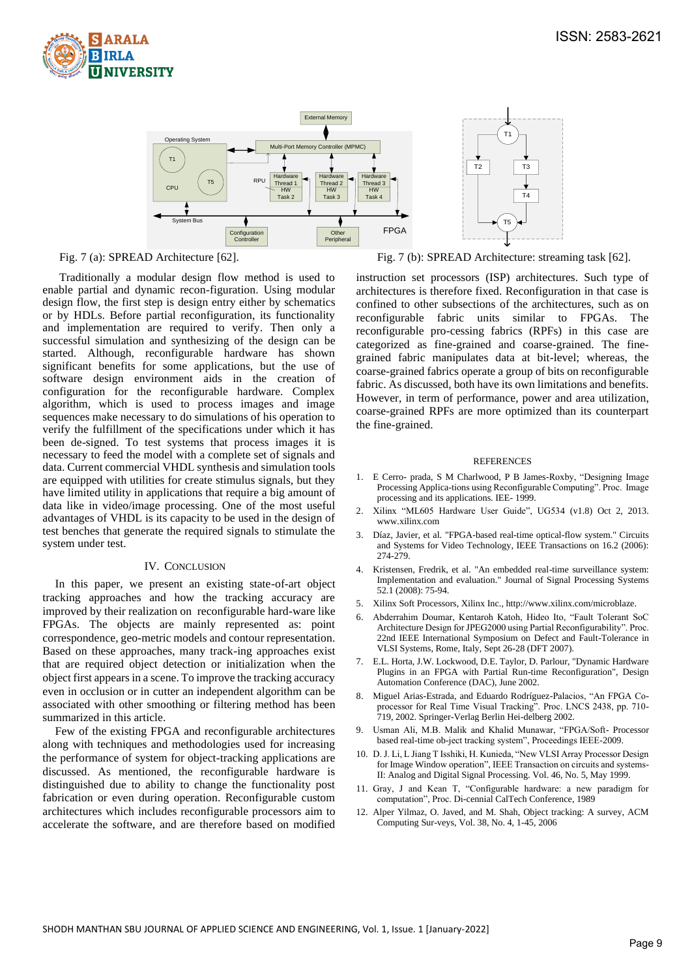



Traditionally a modular design flow method is used to enable partial and dynamic recon-figuration. Using modular design flow, the first step is design entry either by schematics or by HDLs. Before partial reconfiguration, its functionality and implementation are required to verify. Then only a successful simulation and synthesizing of the design can be started. Although, reconfigurable hardware has shown significant benefits for some applications, but the use of software design environment aids in the creation of configuration for the reconfigurable hardware. Complex algorithm, which is used to process images and image sequences make necessary to do simulations of his operation to verify the fulfillment of the specifications under which it has been de-signed. To test systems that process images it is necessary to feed the model with a complete set of signals and data. Current commercial VHDL synthesis and simulation tools are equipped with utilities for create stimulus signals, but they have limited utility in applications that require a big amount of data like in video/image processing. One of the most useful advantages of VHDL is its capacity to be used in the design of test benches that generate the required signals to stimulate the system under test.

#### IV. CONCLUSION

In this paper, we present an existing state-of-art object tracking approaches and how the tracking accuracy are improved by their realization on reconfigurable hard-ware like FPGAs. The objects are mainly represented as: point correspondence, geo-metric models and contour representation. Based on these approaches, many track-ing approaches exist that are required object detection or initialization when the object first appears in a scene. To improve the tracking accuracy even in occlusion or in cutter an independent algorithm can be associated with other smoothing or filtering method has been summarized in this article.

Few of the existing FPGA and reconfigurable architectures along with techniques and methodologies used for increasing the performance of system for object-tracking applications are discussed. As mentioned, the reconfigurable hardware is distinguished due to ability to change the functionality post fabrication or even during operation. Reconfigurable custom architectures which includes reconfigurable processors aim to accelerate the software, and are therefore based on modified

Fig. 7 (a): SPREAD Architecture [62]. Fig. 7 (b): SPREAD Architecture: streaming task [62].

instruction set processors (ISP) architectures. Such type of architectures is therefore fixed. Reconfiguration in that case is confined to other subsections of the architectures, such as on reconfigurable fabric units similar to FPGAs. The reconfigurable pro-cessing fabrics (RPFs) in this case are categorized as fine-grained and coarse-grained. The finegrained fabric manipulates data at bit-level; whereas, the coarse-grained fabrics operate a group of bits on reconfigurable fabric. As discussed, both have its own limitations and benefits. However, in term of performance, power and area utilization, coarse-grained RPFs are more optimized than its counterpart the fine-grained.

#### REFERENCES

- 1. E Cerro- prada, S M Charlwood, P B James-Roxby, "Designing Image Processing Applica-tions using Reconfigurable Computing". Proc. Image processing and its applications. IEE- 1999.
- 2. Xilinx "ML605 Hardware User Guide", UG534 (v1.8) Oct 2, 2013. www.xilinx.com
- 3. Díaz, Javier, et al. "FPGA-based real-time optical-flow system." Circuits and Systems for Video Technology, IEEE Transactions on 16.2 (2006): 274-279.
- 4. Kristensen, Fredrik, et al. "An embedded real-time surveillance system: Implementation and evaluation." Journal of Signal Processing Systems 52.1 (2008): 75-94.
- 5. Xilinx Soft Processors, Xilinx Inc., http://www.xilinx.com/microblaze.
- 6. Abderrahim Doumar, Kentaroh Katoh, Hideo Ito, "Fault Tolerant SoC Architecture Design for JPEG2000 using Partial Reconfigurability". Proc. 22nd IEEE International Symposium on Defect and Fault-Tolerance in VLSI Systems, Rome, Italy, Sept 26-28 (DFT 2007).
- 7. E.L. Horta, J.W. Lockwood, D.E. Taylor, D. Parlour, "Dynamic Hardware Plugins in an FPGA with Partial Run-time Reconfiguration", Design Automation Conference (DAC), June 2002.
- 8. Miguel Arias-Estrada, and Eduardo Rodríguez-Palacios, "An FPGA Coprocessor for Real Time Visual Tracking". Proc. LNCS 2438, pp. 710- 719, 2002. Springer-Verlag Berlin Hei-delberg 2002.
- Usman Ali, M.B. Malik and Khalid Munawar, "FPGA/Soft- Processor based real-time ob-ject tracking system", Proceedings IEEE-2009.
- 10. D. J. Li, L Jiang T Isshiki, H. Kunieda, "New VLSI Array Processor Design for Image Window operation", IEEE Transaction on circuits and systems-II: Analog and Digital Signal Processing. Vol. 46, No. 5, May 1999.
- 11. Gray, J and Kean T, "Configurable hardware: a new paradigm for computation", Proc. Di-cennial CalTech Conference, 1989
- 12. Alper Yilmaz, O. Javed, and M. Shah, Object tracking: A survey, ACM Computing Sur-veys, Vol. 38, No. 4, 1-45, 2006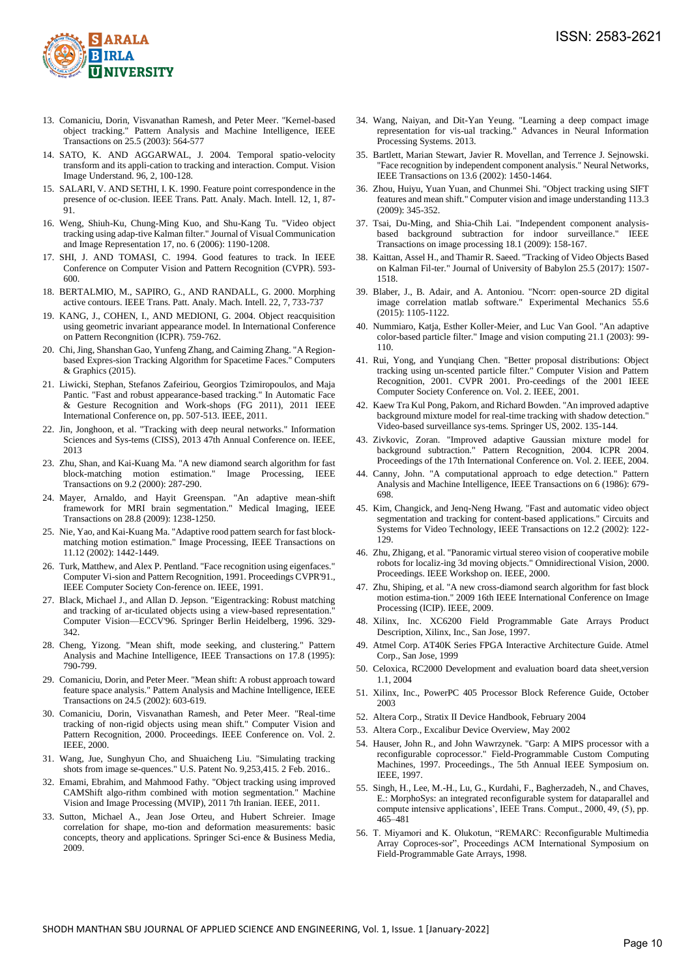

- 13. Comaniciu, Dorin, Visvanathan Ramesh, and Peter Meer. "Kernel-based object tracking." Pattern Analysis and Machine Intelligence, IEEE Transactions on 25.5 (2003): 564-577
- 14. SATO, K. AND AGGARWAL, J. 2004. Temporal spatio-velocity transform and its appli-cation to tracking and interaction. Comput. Vision Image Understand. 96, 2, 100-128.
- 15. SALARI, V. AND SETHI, I. K. 1990. Feature point correspondence in the presence of oc-clusion. IEEE Trans. Patt. Analy. Mach. Intell. 12, 1, 87- 91.
- 16. Weng, Shiuh-Ku, Chung-Ming Kuo, and Shu-Kang Tu. "Video object tracking using adap-tive Kalman filter." Journal of Visual Communication and Image Representation 17, no. 6 (2006): 1190-1208.
- 17. SHI, J. AND TOMASI, C. 1994. Good features to track. In IEEE Conference on Computer Vision and Pattern Recognition (CVPR). 593- 600.
- 18. BERTALMIO, M., SAPIRO, G., AND RANDALL, G. 2000. Morphing active contours. IEEE Trans. Patt. Analy. Mach. Intell. 22, 7, 733-737
- 19. KANG, J., COHEN, I., AND MEDIONI, G. 2004. Object reacquisition using geometric invariant appearance model. In International Conference on Pattern Recongnition (ICPR). 759-762.
- 20. Chi, Jing, Shanshan Gao, Yunfeng Zhang, and Caiming Zhang. "A Regionbased Expres-sion Tracking Algorithm for Spacetime Faces." Computers & Graphics (2015).
- 21. Liwicki, Stephan, Stefanos Zafeiriou, Georgios Tzimiropoulos, and Maja Pantic. "Fast and robust appearance-based tracking." In Automatic Face & Gesture Recognition and Work-shops (FG 2011), 2011 IEEE International Conference on, pp. 507-513. IEEE, 2011.
- 22. Jin, Jonghoon, et al. "Tracking with deep neural networks." Information Sciences and Sys-tems (CISS), 2013 47th Annual Conference on. IEEE, 2013
- 23. Zhu, Shan, and Kai-Kuang Ma. "A new diamond search algorithm for fast block-matching motion estimation." Image Processing, IEEE Transactions on 9.2 (2000): 287-290.
- 24. Mayer, Arnaldo, and Hayit Greenspan. "An adaptive mean-shift framework for MRI brain segmentation." Medical Imaging, IEEE Transactions on 28.8 (2009): 1238-1250.
- 25. Nie, Yao, and Kai-Kuang Ma. "Adaptive rood pattern search for fast blockmatching motion estimation." Image Processing, IEEE Transactions on 11.12 (2002): 1442-1449.
- 26. Turk, Matthew, and Alex P. Pentland. "Face recognition using eigenfaces." Computer Vi-sion and Pattern Recognition, 1991. Proceedings CVPR'91., IEEE Computer Society Con-ference on. IEEE, 1991.
- 27. Black, Michael J., and Allan D. Jepson. "Eigentracking: Robust matching and tracking of ar-ticulated objects using a view-based representation. Computer Vision—ECCV'96. Springer Berlin Heidelberg, 1996. 329- 342.
- 28. Cheng, Yizong. "Mean shift, mode seeking, and clustering." Pattern Analysis and Machine Intelligence, IEEE Transactions on 17.8 (1995): 790-799.
- 29. Comaniciu, Dorin, and Peter Meer. "Mean shift: A robust approach toward feature space analysis." Pattern Analysis and Machine Intelligence, IEEE Transactions on 24.5 (2002): 603-619.
- 30. Comaniciu, Dorin, Visvanathan Ramesh, and Peter Meer. "Real-time tracking of non-rigid objects using mean shift." Computer Vision and Pattern Recognition, 2000. Proceedings. IEEE Conference on. Vol. 2. IEEE, 2000.
- 31. Wang, Jue, Sunghyun Cho, and Shuaicheng Liu. "Simulating tracking shots from image se-quences." U.S. Patent No. 9,253,415. 2 Feb. 2016..
- 32. Emami, Ebrahim, and Mahmood Fathy. "Object tracking using improved CAMShift algo-rithm combined with motion segmentation." Machine Vision and Image Processing (MVIP), 2011 7th Iranian. IEEE, 2011.
- 33. Sutton, Michael A., Jean Jose Orteu, and Hubert Schreier. Image correlation for shape, mo-tion and deformation measurements: basic concepts, theory and applications. Springer Sci-ence & Business Media, 2009.
- 34. Wang, Naiyan, and Dit-Yan Yeung. "Learning a deep compact image representation for vis-ual tracking." Advances in Neural Information Processing Systems. 2013.
- 35. Bartlett, Marian Stewart, Javier R. Movellan, and Terrence J. Sejnowski. "Face recognition by independent component analysis." Neural Networks, IEEE Transactions on 13.6 (2002): 1450-1464.
- 36. Zhou, Huiyu, Yuan Yuan, and Chunmei Shi. "Object tracking using SIFT features and mean shift." Computer vision and image understanding 113.3 (2009): 345-352.
- 37. Tsai, Du-Ming, and Shia-Chih Lai. "Independent component analysisbased background subtraction for indoor surveillance." IEEE Transactions on image processing 18.1 (2009): 158-167.
- 38. Kaittan, Assel H., and Thamir R. Saeed. "Tracking of Video Objects Based on Kalman Fil-ter." Journal of University of Babylon 25.5 (2017): 1507- 1518.
- 39. Blaber, J., B. Adair, and A. Antoniou. "Ncorr: open-source 2D digital image correlation matlab software." Experimental Mechanics 55.6 (2015): 1105-1122.
- 40. Nummiaro, Katja, Esther Koller-Meier, and Luc Van Gool. "An adaptive color-based particle filter." Image and vision computing 21.1 (2003): 99- 110.
- 41. Rui, Yong, and Yunqiang Chen. "Better proposal distributions: Object tracking using un-scented particle filter." Computer Vision and Pattern Recognition, 2001. CVPR 2001. Pro-ceedings of the 2001 IEEE Computer Society Conference on. Vol. 2. IEEE, 2001.
- 42. Kaew Tra Kul Pong, Pakorn, and Richard Bowden. "An improved adaptive background mixture model for real-time tracking with shadow detection." Video-based surveillance sys-tems. Springer US, 2002. 135-144.
- 43. Zivkovic, Zoran. "Improved adaptive Gaussian mixture model for background subtraction." Pattern Recognition, 2004. ICPR 2004. Proceedings of the 17th International Conference on. Vol. 2. IEEE, 2004.
- 44. Canny, John. "A computational approach to edge detection." Pattern Analysis and Machine Intelligence, IEEE Transactions on 6 (1986): 679- 698.
- 45. Kim, Changick, and Jenq-Neng Hwang. "Fast and automatic video object segmentation and tracking for content-based applications." Circuits and Systems for Video Technology, IEEE Transactions on 12.2 (2002): 122- 129.
- 46. Zhu, Zhigang, et al. "Panoramic virtual stereo vision of cooperative mobile robots for localiz-ing 3d moving objects." Omnidirectional Vision, 2000. Proceedings. IEEE Workshop on. IEEE, 2000.
- 47. Zhu, Shiping, et al. "A new cross-diamond search algorithm for fast block motion estima-tion." 2009 16th IEEE International Conference on Image Processing (ICIP). IEEE, 2009.
- 48. Xilinx, Inc. XC6200 Field Programmable Gate Arrays Product Description, Xilinx, Inc., San Jose, 1997.
- 49. Atmel Corp. AT40K Series FPGA Interactive Architecture Guide. Atmel Corp., San Jose, 1999
- 50. Celoxica, RC2000 Development and evaluation board data sheet,version 1.1, 2004
- 51. Xilinx, Inc., PowerPC 405 Processor Block Reference Guide, October 2003
- 52. Altera Corp., Stratix II Device Handbook, February 2004
- 53. Altera Corp., Excalibur Device Overview, May 2002
- 54. Hauser, John R., and John Wawrzynek. "Garp: A MIPS processor with a reconfigurable coprocessor." Field-Programmable Custom Computing Machines, 1997. Proceedings., The 5th Annual IEEE Symposium on. IEEE, 1997.
- 55. Singh, H., Lee, M.-H., Lu, G., Kurdahi, F., Bagherzadeh, N., and Chaves, E.: MorphoSys: an integrated reconfigurable system for dataparallel and compute intensive applications', IEEE Trans. Comput., 2000, 49, (5), pp. 465–481
- 56. T. Miyamori and K. Olukotun, "REMARC: Reconfigurable Multimedia Array Coproces-sor", Proceedings ACM International Symposium on Field-Programmable Gate Arrays, 1998.